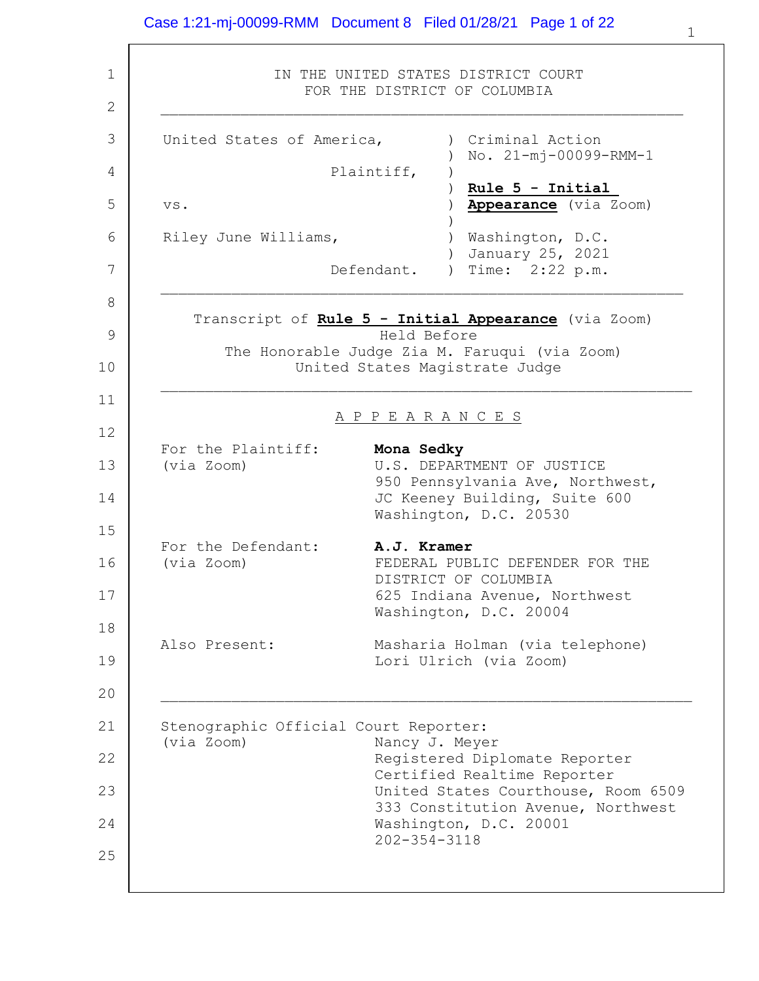1 2 3 4 5 6 7 8 9 10 11 12 13 14 15 16 17 18 19 20 21 22 23 24 25 IN THE UNITED STATES DISTRICT COURT FOR THE DISTRICT OF COLUMBIA  $\mathcal{L}_\text{max}$  and the contract of the contract of the contract of the contract of the contract of the contract of United States of America, Plaintiff, vs. Riley June Williams, Defendant. ) Criminal Action ) No. 21-mj-00099-RMM-1  $\lambda$ ) **Rule 5 - Initial** ) **Appearance** (via Zoom) ) ) Washington, D.C. ) January 25, 2021 ) Time: 2:22 p.m.  $\mathcal{L}_\text{max}$  and the contract of the contract of the contract of the contract of the contract of the contract of Transcript of **Rule 5 - Initial Appearance** (via Zoom) Held Before The Honorable Judge Zia M. Faruqui (via Zoom) United States Magistrate Judge  $\mathcal{L}_\text{max}$  and the contract of the contract of the contract of the contract of the contract of the contract of A P P E A R A N C E S For the Plaintiff: **Mona Sedky** (via Zoom) U.S. DEPARTMENT OF JUSTICE 950 Pennsylvania Ave, Northwest, JC Keeney Building, Suite 600 Washington, D.C. 20530 For the Defendant: **A.J. Kramer** (via Zoom) FEDERAL PUBLIC DEFENDER FOR THE DISTRICT OF COLUMBIA 625 Indiana Avenue, Northwest Washington, D.C. 20004 Also Present: Masharia Holman (via telephone) Lori Ulrich (via Zoom)  $\mathcal{L}_\text{max}$  and the contract of the contract of the contract of the contract of the contract of the contract of Stenographic Official Court Reporter: (via Zoom) Nancy J. Meyer Registered Diplomate Reporter Certified Realtime Reporter United States Courthouse, Room 6509 333 Constitution Avenue, Northwest Washington, D.C. 20001 202-354-3118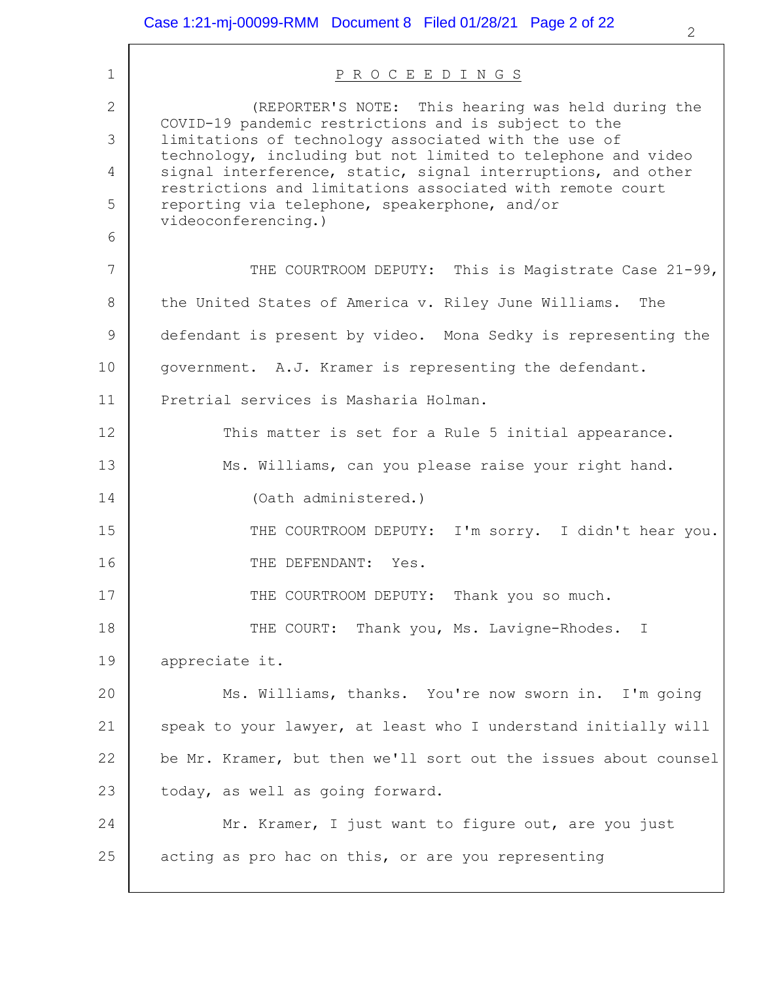| $\mathbf{1}$ | PROCEEDINGS                                                                                                               |
|--------------|---------------------------------------------------------------------------------------------------------------------------|
| $\mathbf{2}$ | (REPORTER'S NOTE: This hearing was held during the<br>COVID-19 pandemic restrictions and is subject to the                |
| 3            | limitations of technology associated with the use of<br>technology, including but not limited to telephone and video      |
| 4            | signal interference, static, signal interruptions, and other<br>restrictions and limitations associated with remote court |
| 5            | reporting via telephone, speakerphone, and/or<br>videoconferencing.)                                                      |
| 6            |                                                                                                                           |
| 7            | THE COURTROOM DEPUTY: This is Magistrate Case 21-99,                                                                      |
| 8            | the United States of America v. Riley June Williams.<br>The                                                               |
| 9            | defendant is present by video. Mona Sedky is representing the                                                             |
| 10           | government. A.J. Kramer is representing the defendant.                                                                    |
| 11           | Pretrial services is Masharia Holman.                                                                                     |
| 12           | This matter is set for a Rule 5 initial appearance.                                                                       |
| 13           | Ms. Williams, can you please raise your right hand.                                                                       |
| 14           | (Oath administered.)                                                                                                      |
| 15           | THE COURTROOM DEPUTY: I'm sorry. I didn't hear you.                                                                       |
| 16           | THE DEFENDANT:<br>Yes.                                                                                                    |
| 17           | THE COURTROOM DEPUTY: Thank you so much.                                                                                  |
| 18           | THE COURT: Thank you, Ms. Lavigne-Rhodes. I                                                                               |
| 19           | appreciate it.                                                                                                            |
| 20           | Ms. Williams, thanks. You're now sworn in. I'm going                                                                      |
| 21           | speak to your lawyer, at least who I understand initially will                                                            |
| 22           | be Mr. Kramer, but then we'll sort out the issues about counsel                                                           |
| 23           | today, as well as going forward.                                                                                          |
| 24           | Mr. Kramer, I just want to figure out, are you just                                                                       |
| 25           | acting as pro hac on this, or are you representing                                                                        |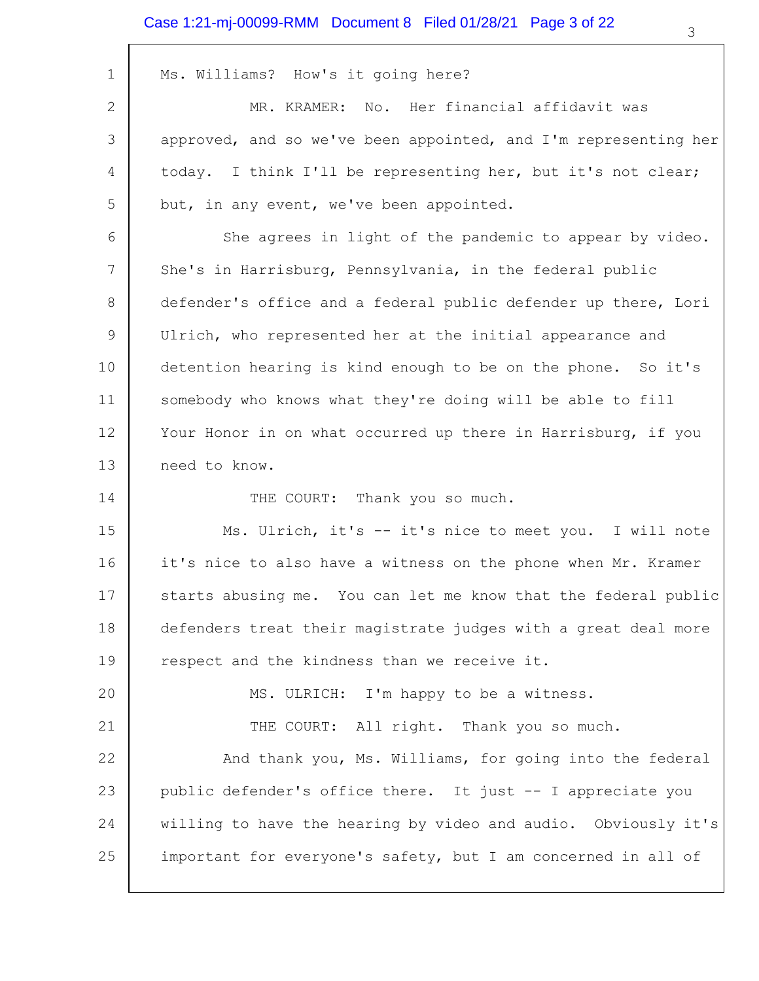### Case 1:21-mj-00099-RMM Document 8 Filed 01/28/21 Page 3 of 22

| 1  | Ms. Williams? How's it going here?                              |
|----|-----------------------------------------------------------------|
| 2  | MR. KRAMER: No. Her financial affidavit was                     |
| 3  | approved, and so we've been appointed, and I'm representing her |
| 4  | today. I think I'll be representing her, but it's not clear;    |
| 5  | but, in any event, we've been appointed.                        |
| 6  | She agrees in light of the pandemic to appear by video.         |
| 7  | She's in Harrisburg, Pennsylvania, in the federal public        |
| 8  | defender's office and a federal public defender up there, Lori  |
| 9  | Ulrich, who represented her at the initial appearance and       |
| 10 | detention hearing is kind enough to be on the phone. So it's    |
| 11 | somebody who knows what they're doing will be able to fill      |
| 12 | Your Honor in on what occurred up there in Harrisburg, if you   |
| 13 | need to know.                                                   |
| 14 | THE COURT: Thank you so much.                                   |
| 15 | Ms. Ulrich, it's -- it's nice to meet you. I will note          |
| 16 | it's nice to also have a witness on the phone when Mr. Kramer   |
| 17 | starts abusing me. You can let me know that the federal public  |
| 18 | defenders treat their magistrate judges with a great deal more  |
| 19 | respect and the kindness than we receive it.                    |
| 20 | MS. ULRICH: I'm happy to be a witness.                          |
| 21 | THE COURT: All right. Thank you so much.                        |
| 22 | And thank you, Ms. Williams, for going into the federal         |
| 23 | public defender's office there. It just -- I appreciate you     |
| 24 | willing to have the hearing by video and audio. Obviously it's  |
| 25 | important for everyone's safety, but I am concerned in all of   |
|    |                                                                 |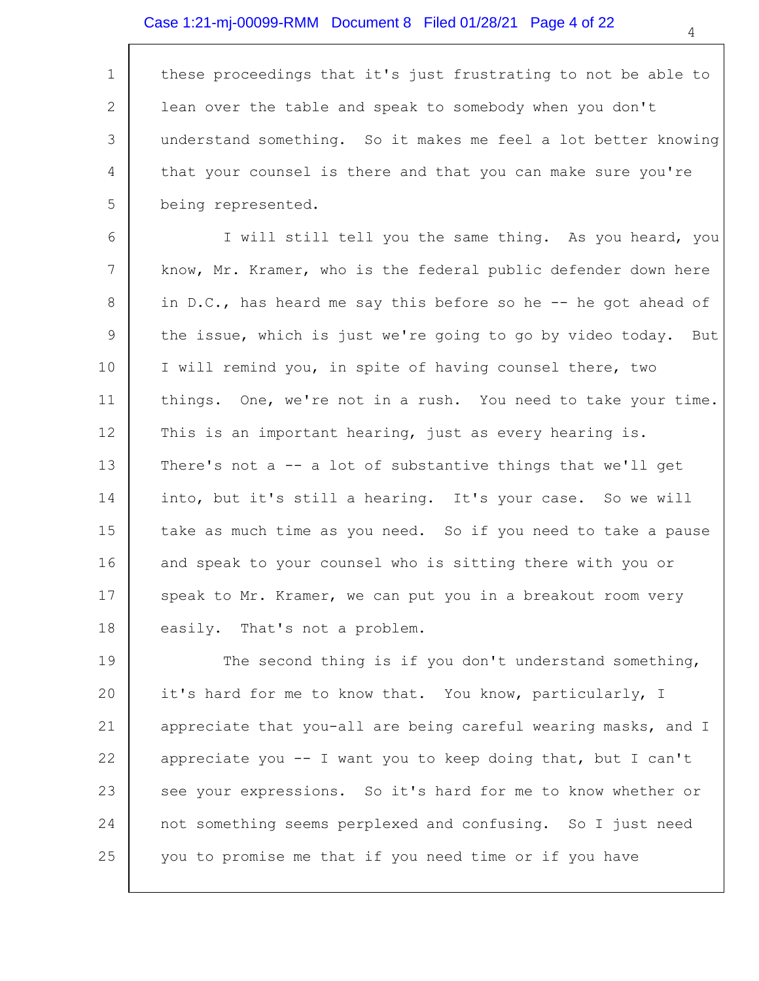1 2 3 4 5 these proceedings that it's just frustrating to not be able to lean over the table and speak to somebody when you don't understand something. So it makes me feel a lot better knowing that your counsel is there and that you can make sure you're being represented.

6 7 8 9 10 11 12 13 14 15 16 17 18 I will still tell you the same thing. As you heard, you know, Mr. Kramer, who is the federal public defender down here in D.C., has heard me say this before so he -- he got ahead of the issue, which is just we're going to go by video today. But I will remind you, in spite of having counsel there, two things. One, we're not in a rush. You need to take your time. This is an important hearing, just as every hearing is. There's not a -- a lot of substantive things that we'll get into, but it's still a hearing. It's your case. So we will take as much time as you need. So if you need to take a pause and speak to your counsel who is sitting there with you or speak to Mr. Kramer, we can put you in a breakout room very easily. That's not a problem.

19 20 21 22 23 24 25 The second thing is if you don't understand something, it's hard for me to know that. You know, particularly, I appreciate that you-all are being careful wearing masks, and I appreciate you -- I want you to keep doing that, but I can't see your expressions. So it's hard for me to know whether or not something seems perplexed and confusing. So I just need you to promise me that if you need time or if you have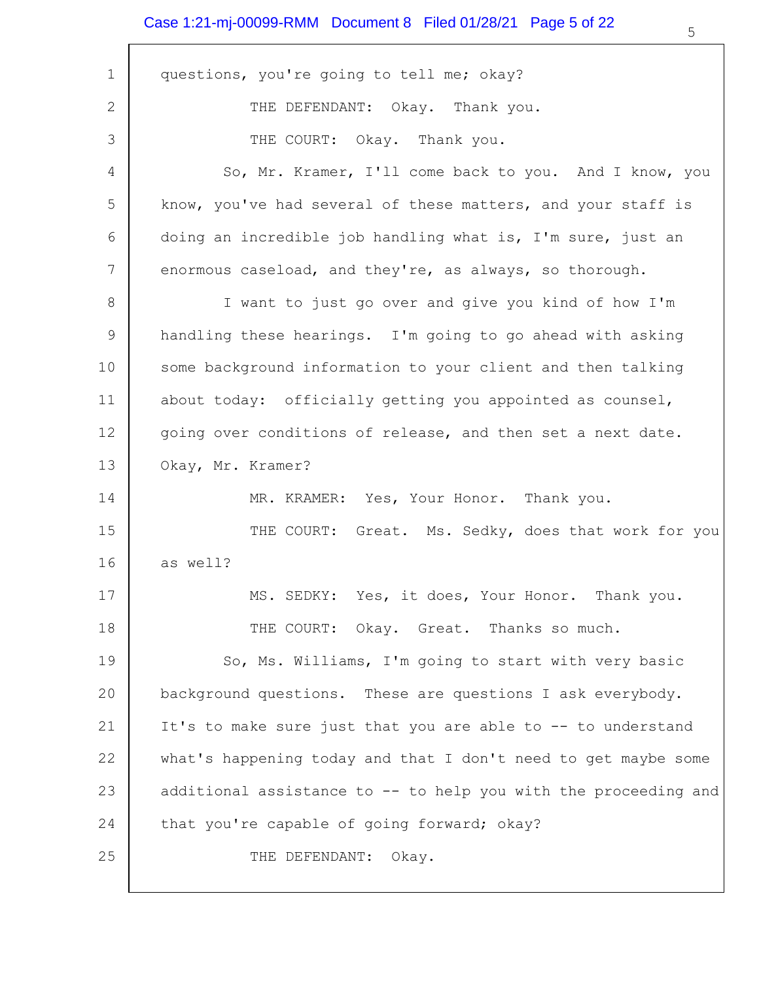### Case 1:21-mj-00099-RMM Document 8 Filed 01/28/21 Page 5 of 22

| $\mathbf{1}$ | questions, you're going to tell me; okay?                       |
|--------------|-----------------------------------------------------------------|
| $\mathbf{2}$ | THE DEFENDANT: Okay. Thank you.                                 |
| 3            | THE COURT: Okay. Thank you.                                     |
| 4            | So, Mr. Kramer, I'll come back to you. And I know, you          |
| 5            | know, you've had several of these matters, and your staff is    |
| 6            | doing an incredible job handling what is, I'm sure, just an     |
| 7            | enormous caseload, and they're, as always, so thorough.         |
| 8            | I want to just go over and give you kind of how I'm             |
| 9            | handling these hearings. I'm going to go ahead with asking      |
| 10           | some background information to your client and then talking     |
| 11           | about today: officially getting you appointed as counsel,       |
| 12           | going over conditions of release, and then set a next date.     |
| 13           | Okay, Mr. Kramer?                                               |
| 14           | MR. KRAMER: Yes, Your Honor. Thank you.                         |
| 15           | THE COURT: Great. Ms. Sedky, does that work for you             |
| 16           | as well?                                                        |
| 17           | Yes, it does, Your Honor.<br>MS.<br>Thank you.<br>SEDKY:        |
| 18           | THE COURT: Okay. Great. Thanks so much.                         |
| 19           | So, Ms. Williams, I'm going to start with very basic            |
| 20           | background questions. These are questions I ask everybody.      |
| 21           | It's to make sure just that you are able to -- to understand    |
| 22           | what's happening today and that I don't need to get maybe some  |
| 23           | additional assistance to -- to help you with the proceeding and |
| 24           | that you're capable of going forward; okay?                     |
| 25           | THE DEFENDANT:<br>Okay.                                         |
|              |                                                                 |

⅂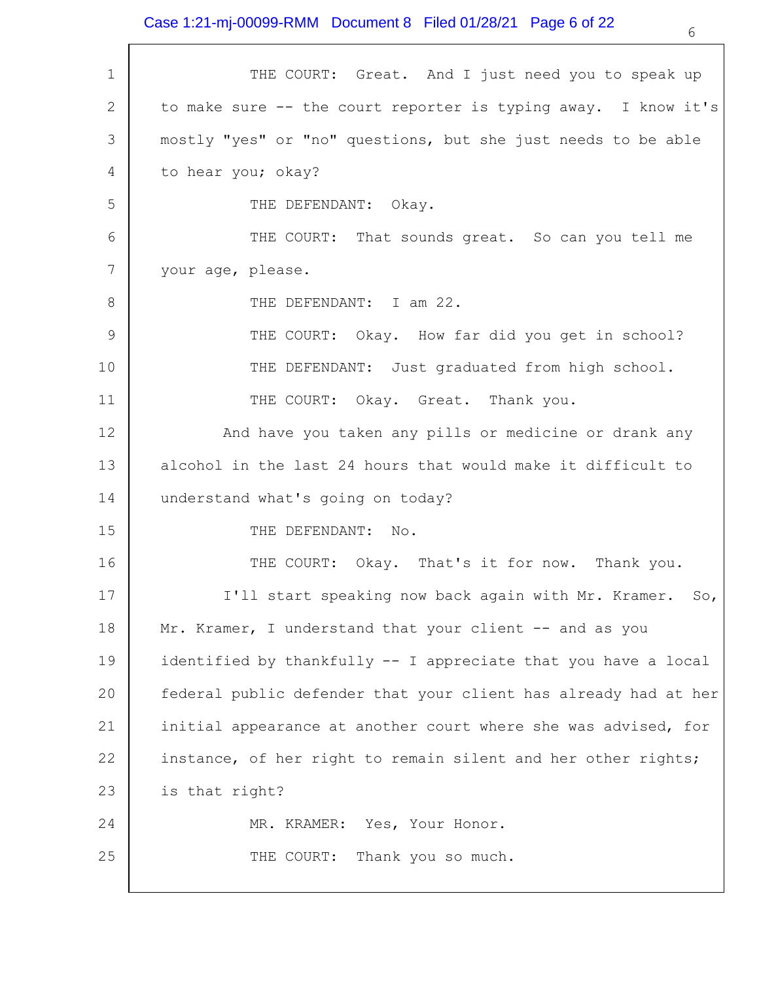| $\mathbf 1$     | THE COURT: Great. And I just need you to speak up               |
|-----------------|-----------------------------------------------------------------|
| 2               | to make sure -- the court reporter is typing away. I know it's  |
| 3               | mostly "yes" or "no" questions, but she just needs to be able   |
| 4               | to hear you; okay?                                              |
| 5               | THE DEFENDANT: Okay.                                            |
| 6               | THE COURT: That sounds great. So can you tell me                |
| $7\phantom{.0}$ | your age, please.                                               |
| 8               | THE DEFENDANT: I am 22.                                         |
| 9               | THE COURT: Okay. How far did you get in school?                 |
| 10              | THE DEFENDANT: Just graduated from high school.                 |
| 11              | THE COURT: Okay. Great. Thank you.                              |
| 12              | And have you taken any pills or medicine or drank any           |
| 13              | alcohol in the last 24 hours that would make it difficult to    |
| 14              | understand what's going on today?                               |
| 15              | THE DEFENDANT: No.                                              |
| 16              | THE COURT: Okay. That's it for now. Thank you.                  |
| 17              | I'll start speaking now back again with Mr. Kramer. So,         |
| 18              | Mr. Kramer, I understand that your client -- and as you         |
| 19              | identified by thankfully -- I appreciate that you have a local  |
| 20              | federal public defender that your client has already had at her |
| 21              | initial appearance at another court where she was advised, for  |
| 22              | instance, of her right to remain silent and her other rights;   |
| 23              | is that right?                                                  |
| 24              | MR. KRAMER: Yes, Your Honor.                                    |
| 25              | Thank you so much.<br>THE COURT:                                |
|                 |                                                                 |

6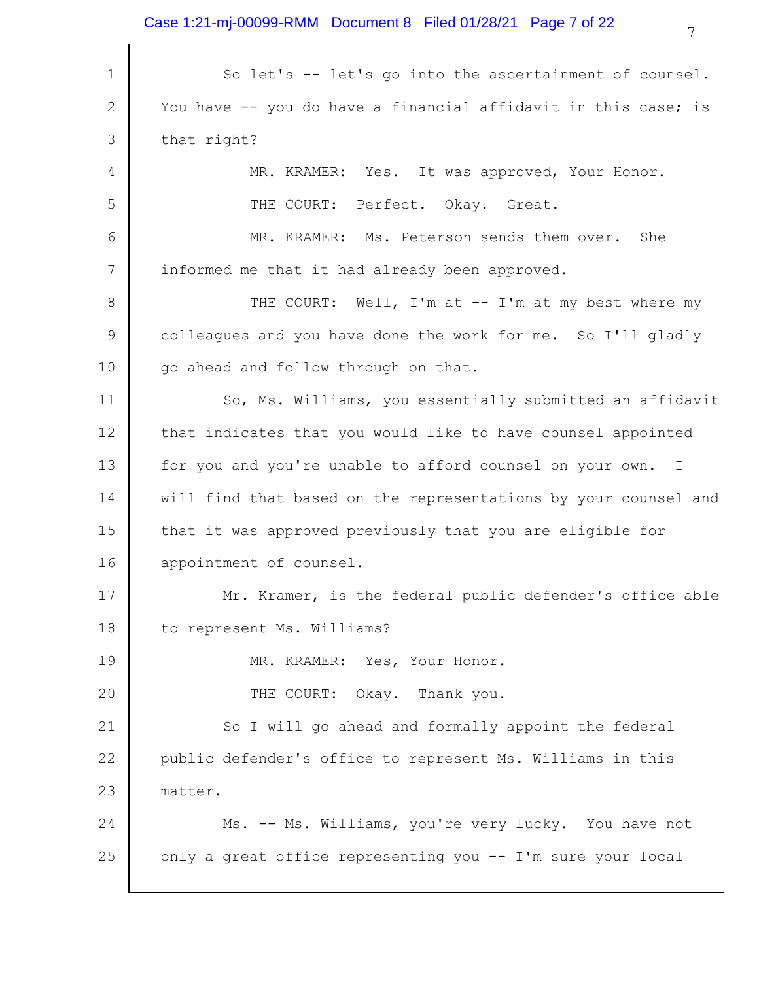### Case 1:21-mj-00099-RMM Document 8 Filed 01/28/21 Page 7 of 22

| $\mathbf 1$     | So let's -- let's go into the ascertainment of counsel.         |
|-----------------|-----------------------------------------------------------------|
| $\mathbf{2}$    | You have -- you do have a financial affidavit in this case; is  |
| 3               | that right?                                                     |
| 4               | MR. KRAMER: Yes. It was approved, Your Honor.                   |
| 5               | THE COURT: Perfect. Okay. Great.                                |
| 6               | MR. KRAMER: Ms. Peterson sends them over. She                   |
| $7\phantom{.0}$ | informed me that it had already been approved.                  |
| 8               | THE COURT: Well, I'm at -- I'm at my best where my              |
| 9               | colleagues and you have done the work for me. So I'll gladly    |
| 10              | go ahead and follow through on that.                            |
| 11              | So, Ms. Williams, you essentially submitted an affidavit        |
| 12              | that indicates that you would like to have counsel appointed    |
| 13              | for you and you're unable to afford counsel on your own. I      |
| 14              | will find that based on the representations by your counsel and |
| 15              | that it was approved previously that you are eligible for       |
| 16              | appointment of counsel.                                         |
| 17              | Mr. Kramer, is the federal public defender's office able        |
| 18              | to represent Ms. Williams?                                      |
| 19              | MR. KRAMER: Yes, Your Honor.                                    |
| 20              | THE COURT: Okay. Thank you.                                     |
| 21              | So I will go ahead and formally appoint the federal             |
| 22              | public defender's office to represent Ms. Williams in this      |
| 23              | matter.                                                         |
| 24              | Ms. -- Ms. Williams, you're very lucky. You have not            |
| 25              | only a great office representing you -- I'm sure your local     |
|                 |                                                                 |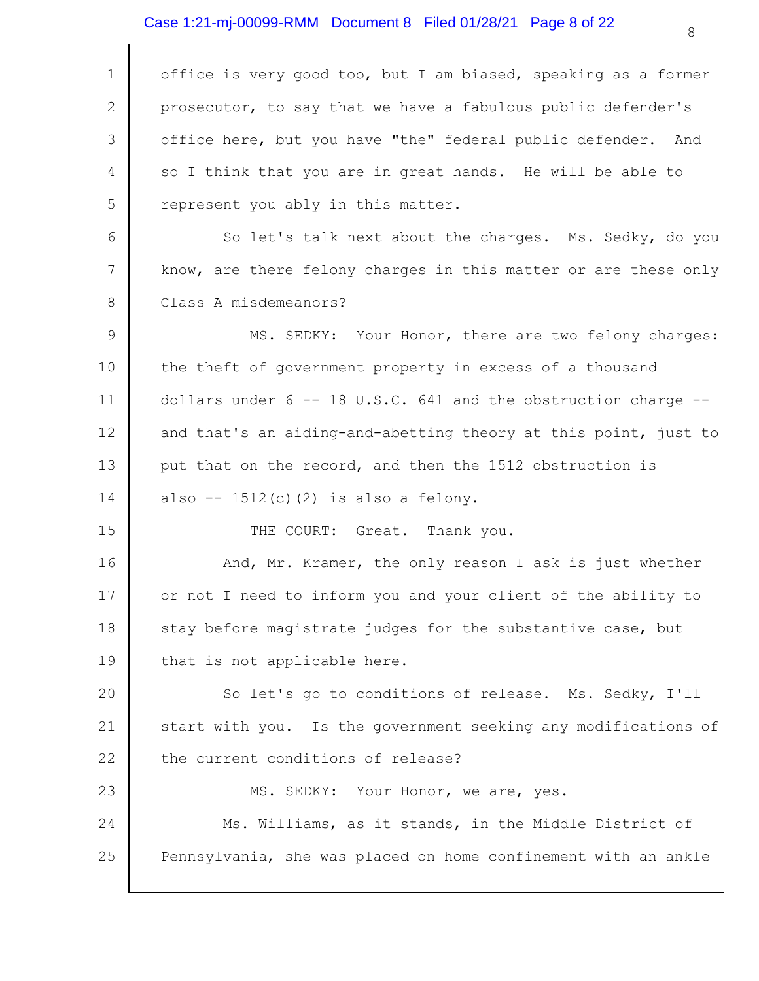| $\mathbf 1$     | office is very good too, but I am biased, speaking as a former       |
|-----------------|----------------------------------------------------------------------|
| $\overline{2}$  | prosecutor, to say that we have a fabulous public defender's         |
| 3               | office here, but you have "the" federal public defender. And         |
| 4               | so I think that you are in great hands. He will be able to           |
| 5               | represent you ably in this matter.                                   |
| 6               | So let's talk next about the charges. Ms. Sedky, do you              |
| $7\phantom{.0}$ | know, are there felony charges in this matter or are these only      |
| 8               | Class A misdemeanors?                                                |
| 9               | MS. SEDKY: Your Honor, there are two felony charges:                 |
| 10              | the theft of government property in excess of a thousand             |
| 11              | dollars under $6 - - 18$ U.S.C. 641 and the obstruction charge $- -$ |
| 12              | and that's an aiding-and-abetting theory at this point, just to      |
| 13              | put that on the record, and then the 1512 obstruction is             |
| 14              | also -- $1512(c)$ (2) is also a felony.                              |
| 15              | THE COURT: Great. Thank you.                                         |
| 16              | And, Mr. Kramer, the only reason I ask is just whether               |
| 17              | or not I need to inform you and your client of the ability to        |
| 18              | stay before magistrate judges for the substantive case, but          |
| 19              | that is not applicable here.                                         |
| 20              | So let's go to conditions of release. Ms. Sedky, I'll                |
| 21              | start with you. Is the government seeking any modifications of       |
| 22              | the current conditions of release?                                   |
| 23              | MS. SEDKY: Your Honor, we are, yes.                                  |
| 24              | Ms. Williams, as it stands, in the Middle District of                |
| 25              | Pennsylvania, she was placed on home confinement with an ankle       |
|                 |                                                                      |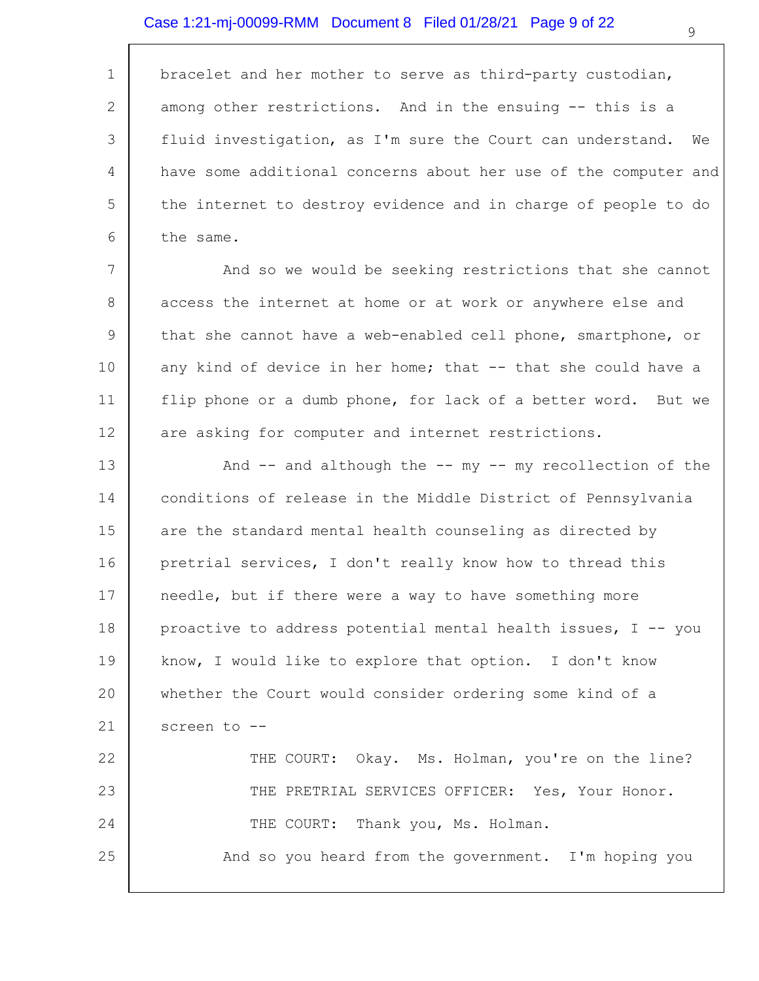1 2 3 4 5 6 bracelet and her mother to serve as third-party custodian, among other restrictions. And in the ensuing -- this is a fluid investigation, as I'm sure the Court can understand. We have some additional concerns about her use of the computer and the internet to destroy evidence and in charge of people to do the same.

7 8 9 10 11 12 And so we would be seeking restrictions that she cannot access the internet at home or at work or anywhere else and that she cannot have a web-enabled cell phone, smartphone, or any kind of device in her home; that  $-$  that she could have a flip phone or a dumb phone, for lack of a better word. But we are asking for computer and internet restrictions.

13 14 15 16 17 18 19 20 21 22 23 24 25 And  $--$  and although the  $--$  my  $--$  my recollection of the conditions of release in the Middle District of Pennsylvania are the standard mental health counseling as directed by pretrial services, I don't really know how to thread this needle, but if there were a way to have something more proactive to address potential mental health issues,  $I - -$  you know, I would like to explore that option. I don't know whether the Court would consider ordering some kind of a screen to -- THE COURT: Okay. Ms. Holman, you're on the line? THE PRETRIAL SERVICES OFFICER: Yes, Your Honor. THE COURT: Thank you, Ms. Holman. And so you heard from the government. I'm hoping you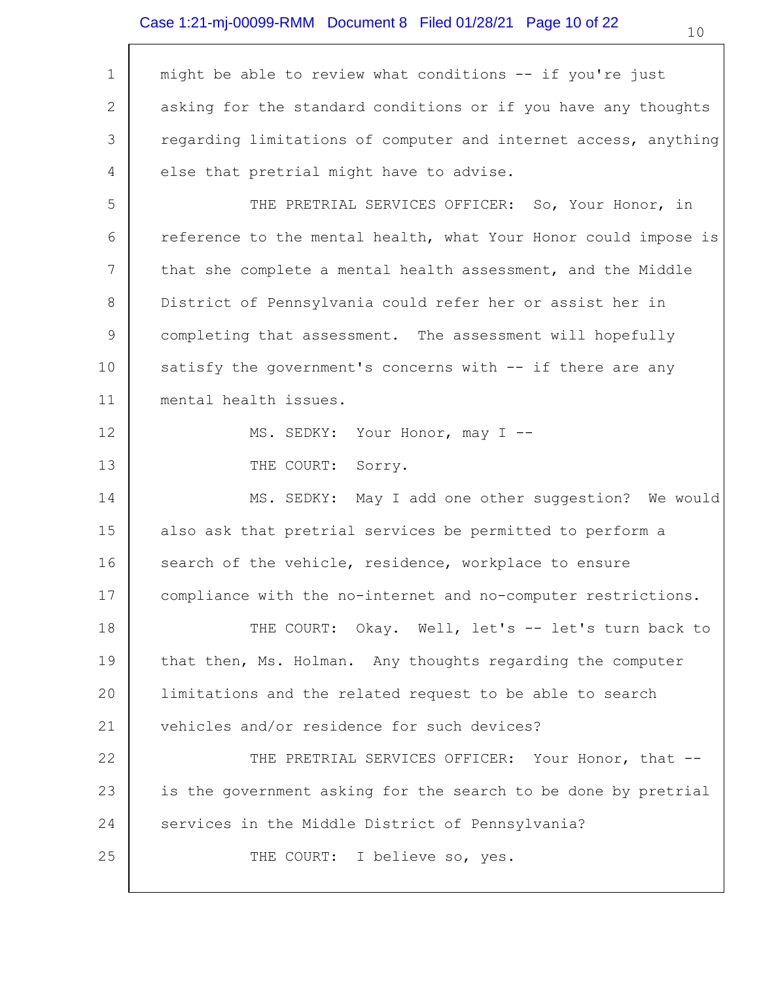### Case 1:21-mj-00099-RMM Document 8 Filed 01/28/21 Page 10 of 22

| $\mathbf 1$ | might be able to review what conditions -- if you're just       |
|-------------|-----------------------------------------------------------------|
| 2           | asking for the standard conditions or if you have any thoughts  |
| 3           | regarding limitations of computer and internet access, anything |
| 4           | else that pretrial might have to advise.                        |
| 5           | THE PRETRIAL SERVICES OFFICER: So, Your Honor, in               |
| 6           | reference to the mental health, what Your Honor could impose is |
| 7           | that she complete a mental health assessment, and the Middle    |
| 8           | District of Pennsylvania could refer her or assist her in       |
| 9           | completing that assessment. The assessment will hopefully       |
| 10          | satisfy the government's concerns with -- if there are any      |
| 11          | mental health issues.                                           |
| 12          | MS. SEDKY: Your Honor, may I --                                 |
| 13          | THE COURT:<br>Sorry.                                            |
| 14          | MS. SEDKY: May I add one other suggestion? We would             |
| 15          | also ask that pretrial services be permitted to perform a       |
| 16          | search of the vehicle, residence, workplace to ensure           |
| 17          | compliance with the no-internet and no-computer restrictions.   |
| 18          | THE COURT: Okay. Well, let's -- let's turn back to              |
| 19          | that then, Ms. Holman. Any thoughts regarding the computer      |
| 20          | limitations and the related request to be able to search        |
| 21          | vehicles and/or residence for such devices?                     |
| 22          | THE PRETRIAL SERVICES OFFICER: Your Honor, that --              |
| 23          | is the government asking for the search to be done by pretrial  |
| 24          | services in the Middle District of Pennsylvania?                |
| 25          | THE COURT: I believe so, yes.                                   |
|             |                                                                 |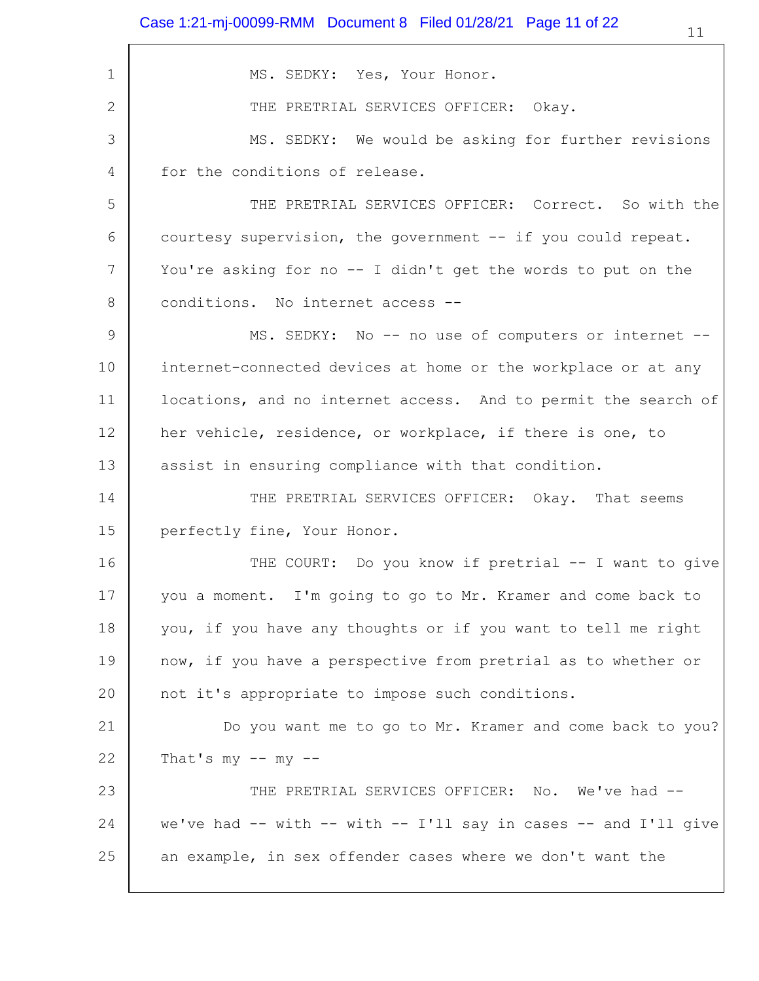| 1  | MS. SEDKY: Yes, Your Honor.                                     |
|----|-----------------------------------------------------------------|
| 2  | THE PRETRIAL SERVICES OFFICER: Okay.                            |
| 3  | MS. SEDKY: We would be asking for further revisions             |
| 4  | for the conditions of release.                                  |
| 5  | THE PRETRIAL SERVICES OFFICER: Correct. So with the             |
| 6  | courtesy supervision, the government -- if you could repeat.    |
| 7  | You're asking for no -- I didn't get the words to put on the    |
| 8  | conditions. No internet access --                               |
| 9  | MS. SEDKY: No -- no use of computers or internet --             |
| 10 | internet-connected devices at home or the workplace or at any   |
| 11 | locations, and no internet access. And to permit the search of  |
| 12 | her vehicle, residence, or workplace, if there is one, to       |
| 13 | assist in ensuring compliance with that condition.              |
| 14 | THE PRETRIAL SERVICES OFFICER: Okay. That seems                 |
| 15 | perfectly fine, Your Honor.                                     |
| 16 | THE COURT: Do you know if pretrial -- I want to give            |
| 17 | you a moment. I'm going to go to Mr. Kramer and come back to    |
| 18 | you, if you have any thoughts or if you want to tell me right   |
| 19 | now, if you have a perspective from pretrial as to whether or   |
| 20 | not it's appropriate to impose such conditions.                 |
| 21 | Do you want me to go to Mr. Kramer and come back to you?        |
| 22 | That's $my$ -- $my$ --                                          |
| 23 | THE PRETRIAL SERVICES OFFICER: No. We've had --                 |
| 24 | we've had -- with -- with -- I'll say in cases -- and I'll give |
| 25 | an example, in sex offender cases where we don't want the       |
|    |                                                                 |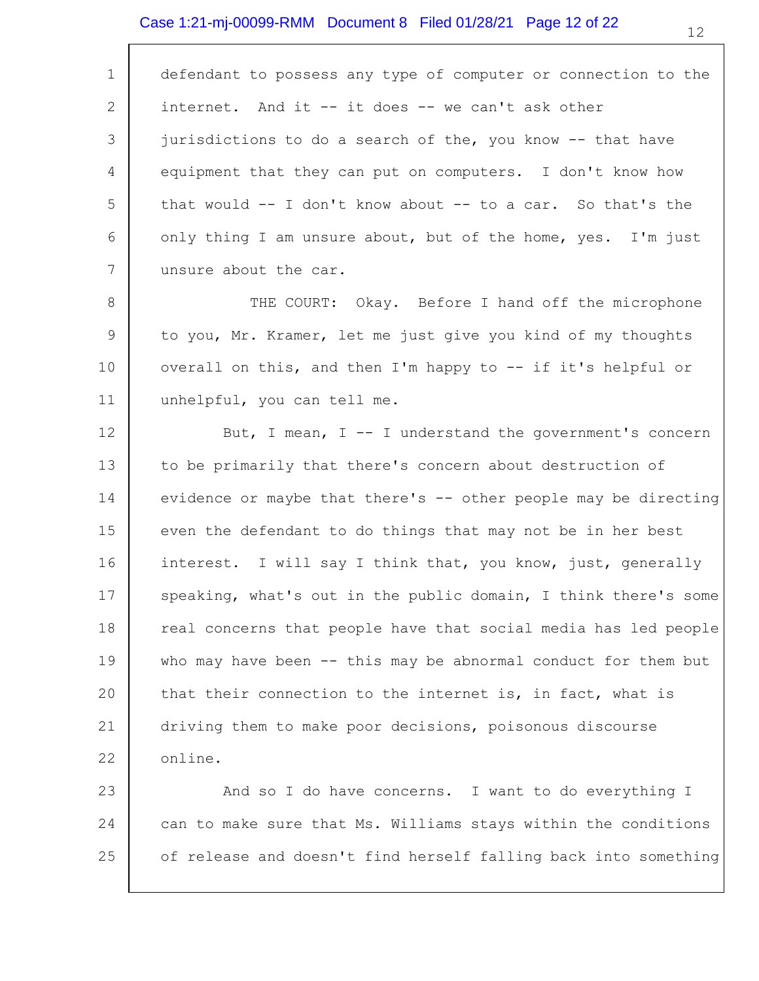#### Case 1:21-mj-00099-RMM Document 8 Filed 01/28/21 Page 12 of 22

1 2 3 4 5 6 7 defendant to possess any type of computer or connection to the internet. And it -- it does -- we can't ask other jurisdictions to do a search of the, you know -- that have equipment that they can put on computers. I don't know how that would  $-$  I don't know about  $-$  to a car. So that's the only thing I am unsure about, but of the home, yes. I'm just unsure about the car.

8 9 10 11 THE COURT: Okay. Before I hand off the microphone to you, Mr. Kramer, let me just give you kind of my thoughts overall on this, and then I'm happy to -- if it's helpful or unhelpful, you can tell me.

12 13 14 15 16 17 18 19 20 21 22 But, I mean, I -- I understand the government's concern to be primarily that there's concern about destruction of evidence or maybe that there's -- other people may be directing even the defendant to do things that may not be in her best interest. I will say I think that, you know, just, generally speaking, what's out in the public domain, I think there's some real concerns that people have that social media has led people who may have been -- this may be abnormal conduct for them but that their connection to the internet is, in fact, what is driving them to make poor decisions, poisonous discourse online.

23 24 25 And so I do have concerns. I want to do everything I can to make sure that Ms. Williams stays within the conditions of release and doesn't find herself falling back into something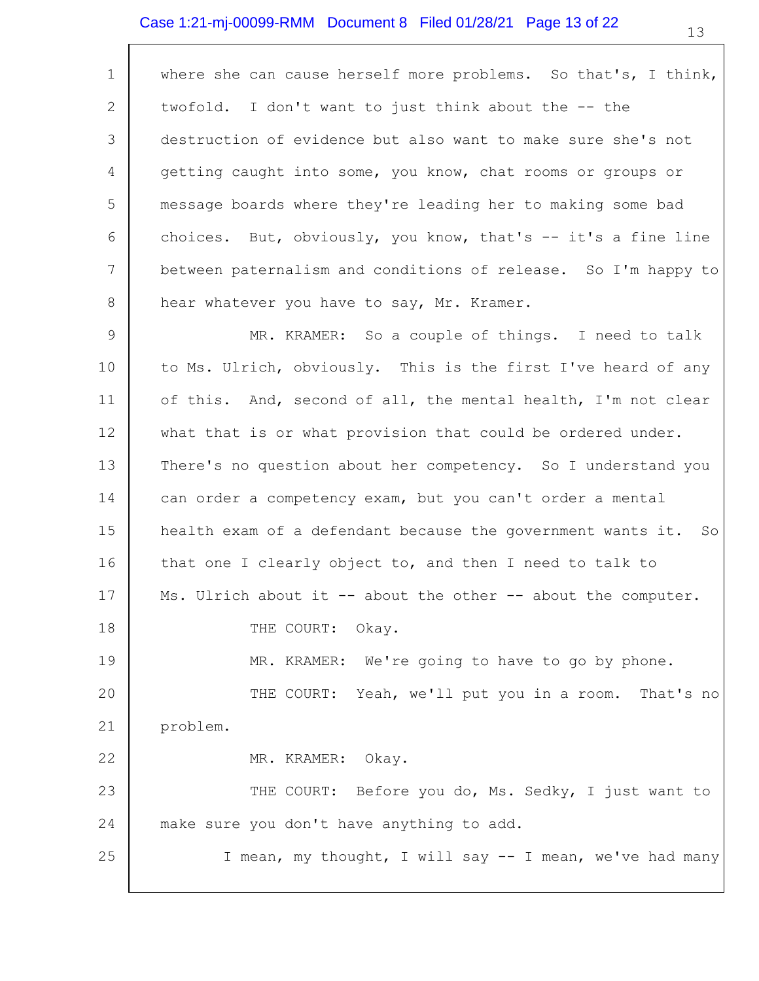### Case 1:21-mj-00099-RMM Document 8 Filed 01/28/21 Page 13 of 22

1 2 3 4 5 6 7 8 where she can cause herself more problems. So that's, I think, twofold. I don't want to just think about the -- the destruction of evidence but also want to make sure she's not getting caught into some, you know, chat rooms or groups or message boards where they're leading her to making some bad choices. But, obviously, you know, that's  $-$  it's a fine line between paternalism and conditions of release. So I'm happy to hear whatever you have to say, Mr. Kramer.

9 10 11 12 13 14 15 16 17 18 19 20 21 22 23 24 25 MR. KRAMER: So a couple of things. I need to talk to Ms. Ulrich, obviously. This is the first I've heard of any of this. And, second of all, the mental health, I'm not clear what that is or what provision that could be ordered under. There's no question about her competency. So I understand you can order a competency exam, but you can't order a mental health exam of a defendant because the government wants it. So that one I clearly object to, and then I need to talk to Ms. Ulrich about it -- about the other -- about the computer. THE COURT: Okay. MR. KRAMER: We're going to have to go by phone. THE COURT: Yeah, we'll put you in a room. That's no problem. MR. KRAMER: Okay. THE COURT: Before you do, Ms. Sedky, I just want to make sure you don't have anything to add. I mean, my thought, I will say -- I mean, we've had many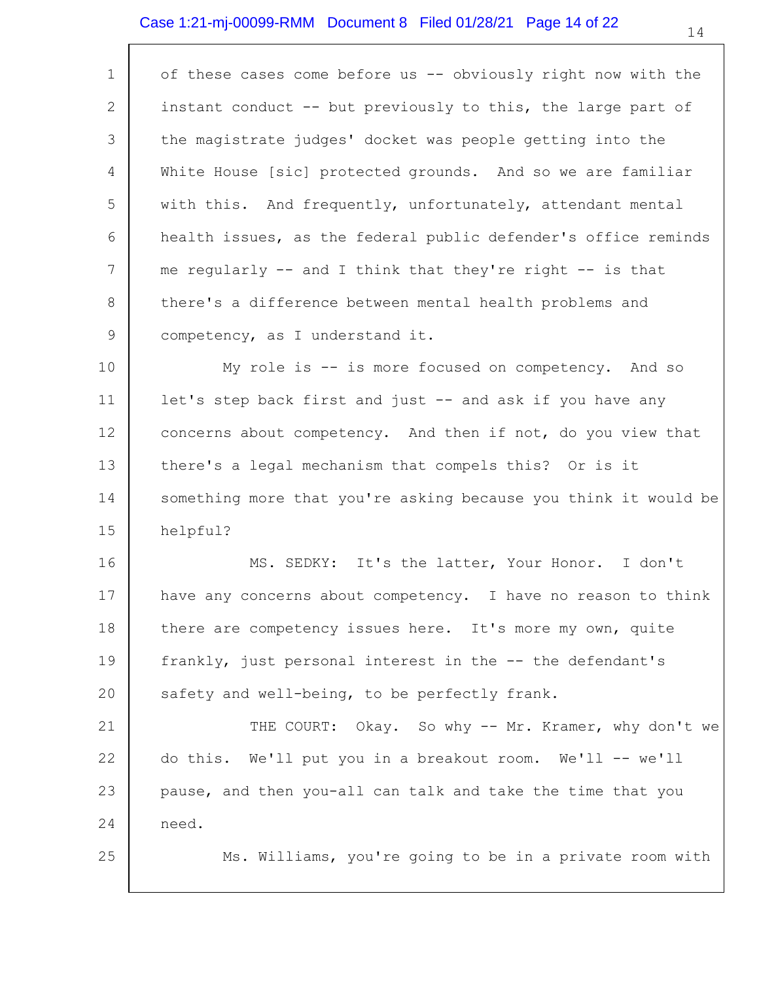### Case 1:21-mj-00099-RMM Document 8 Filed 01/28/21 Page 14 of 22

| $\mathbf 1$ | of these cases come before us -- obviously right now with the   |
|-------------|-----------------------------------------------------------------|
| 2           | instant conduct -- but previously to this, the large part of    |
| 3           | the magistrate judges' docket was people getting into the       |
| 4           | White House [sic] protected grounds. And so we are familiar     |
| 5           | with this. And frequently, unfortunately, attendant mental      |
| 6           | health issues, as the federal public defender's office reminds  |
| 7           | me regularly $-$ and I think that they're right $-$ is that     |
| 8           | there's a difference between mental health problems and         |
| 9           | competency, as I understand it.                                 |
| 10          | My role is -- is more focused on competency. And so             |
| 11          | let's step back first and just -- and ask if you have any       |
| 12          | concerns about competency. And then if not, do you view that    |
| 13          | there's a legal mechanism that compels this? Or is it           |
| 14          | something more that you're asking because you think it would be |
| 15          | helpful?                                                        |
| 16          | MS. SEDKY: It's the latter, Your Honor. I don't                 |
| 17          | have any concerns about competency. I have no reason to think   |
| 18          | there are competency issues here. It's more my own, quite       |
| 19          | frankly, just personal interest in the -- the defendant's       |
| 20          | safety and well-being, to be perfectly frank.                   |
| 21          | THE COURT: Okay. So why -- Mr. Kramer, why don't we             |
| 22          | do this. We'll put you in a breakout room. We'll -- we'll       |
| 23          | pause, and then you-all can talk and take the time that you     |
| 24          | need.                                                           |

Ms. Williams, you're going to be in a private room with

25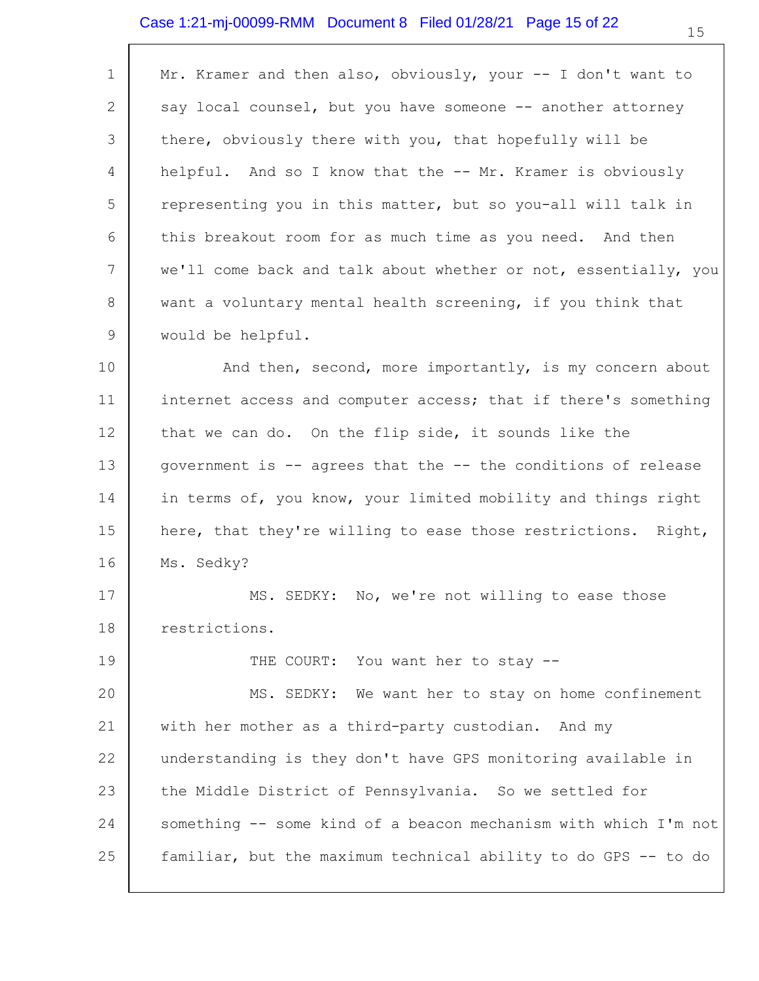#### Case 1:21-mj-00099-RMM Document 8 Filed 01/28/21 Page 15 of 22

| $\mathbf{1}$   | Mr. Kramer and then also, obviously, your -- I don't want to    |
|----------------|-----------------------------------------------------------------|
| $\overline{2}$ | say local counsel, but you have someone -- another attorney     |
| 3              | there, obviously there with you, that hopefully will be         |
| $\overline{4}$ | helpful. And so I know that the -- Mr. Kramer is obviously      |
| 5              | representing you in this matter, but so you-all will talk in    |
| 6              | this breakout room for as much time as you need. And then       |
| 7              | we'll come back and talk about whether or not, essentially, you |
| 8              | want a voluntary mental health screening, if you think that     |
| 9              | would be helpful.                                               |
| 10             | And then, second, more importantly, is my concern about         |
| 11             | internet access and computer access; that if there's something  |
| 12             | that we can do. On the flip side, it sounds like the            |
| 13             | government is -- agrees that the -- the conditions of release   |
| 14             | in terms of, you know, your limited mobility and things right   |

15 16 here, that they're willing to ease those restrictions. Right, Ms. Sedky?

17 18 MS. SEDKY: No, we're not willing to ease those restrictions.

19

THE COURT: You want her to stay --

20 21 22 23 24 25 MS. SEDKY: We want her to stay on home confinement with her mother as a third-party custodian. And my understanding is they don't have GPS monitoring available in the Middle District of Pennsylvania. So we settled for something -- some kind of a beacon mechanism with which I'm not familiar, but the maximum technical ability to do GPS -- to do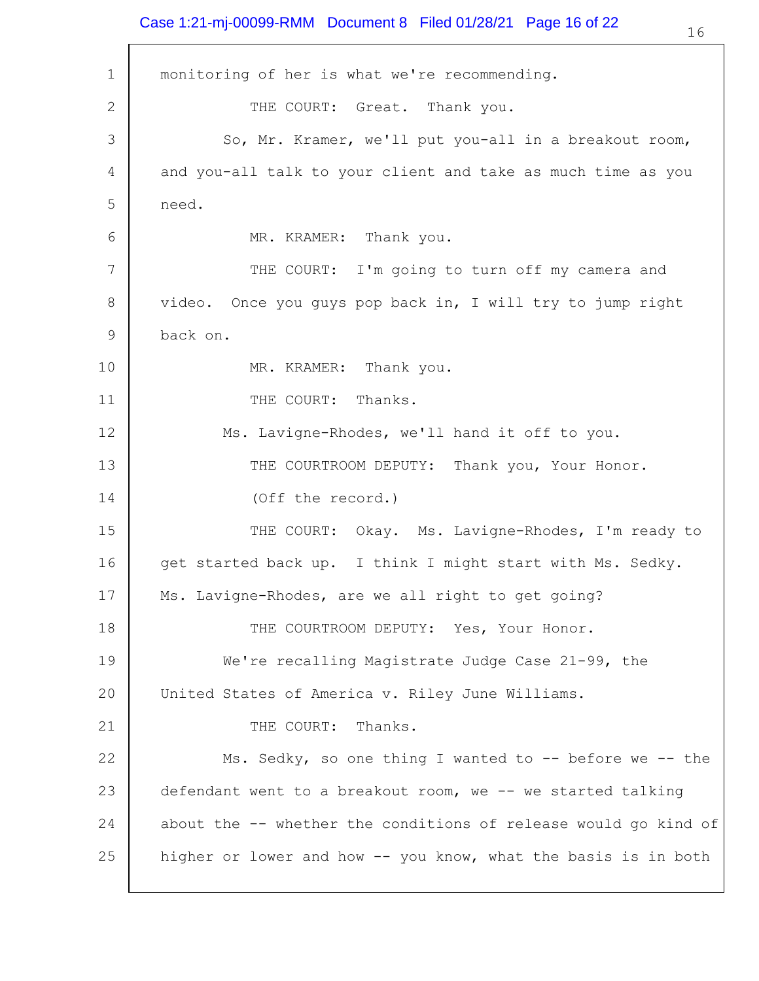#### Case 1:21-mj-00099-RMM Document 8 Filed 01/28/21 Page 16 of 22

1 2 3 4 5 6 7 8 9 10 11 12 13 14 15 16 17 18 19 20 21 22 23 24 25 monitoring of her is what we're recommending. THE COURT: Great. Thank you. So, Mr. Kramer, we'll put you-all in a breakout room, and you-all talk to your client and take as much time as you need. MR. KRAMER: Thank you. THE COURT: I'm going to turn off my camera and video. Once you guys pop back in, I will try to jump right back on. MR. KRAMER: Thank you. THE COURT: Thanks. Ms. Lavigne-Rhodes, we'll hand it off to you. THE COURTROOM DEPUTY: Thank you, Your Honor. (Off the record.) THE COURT: Okay. Ms. Lavigne-Rhodes, I'm ready to get started back up. I think I might start with Ms. Sedky. Ms. Lavigne-Rhodes, are we all right to get going? THE COURTROOM DEPUTY: Yes, Your Honor. We're recalling Magistrate Judge Case 21-99, the United States of America v. Riley June Williams. THE COURT: Thanks. Ms. Sedky, so one thing I wanted to  $-$ - before we  $-$ - the defendant went to a breakout room, we -- we started talking about the -- whether the conditions of release would go kind of higher or lower and how -- you know, what the basis is in both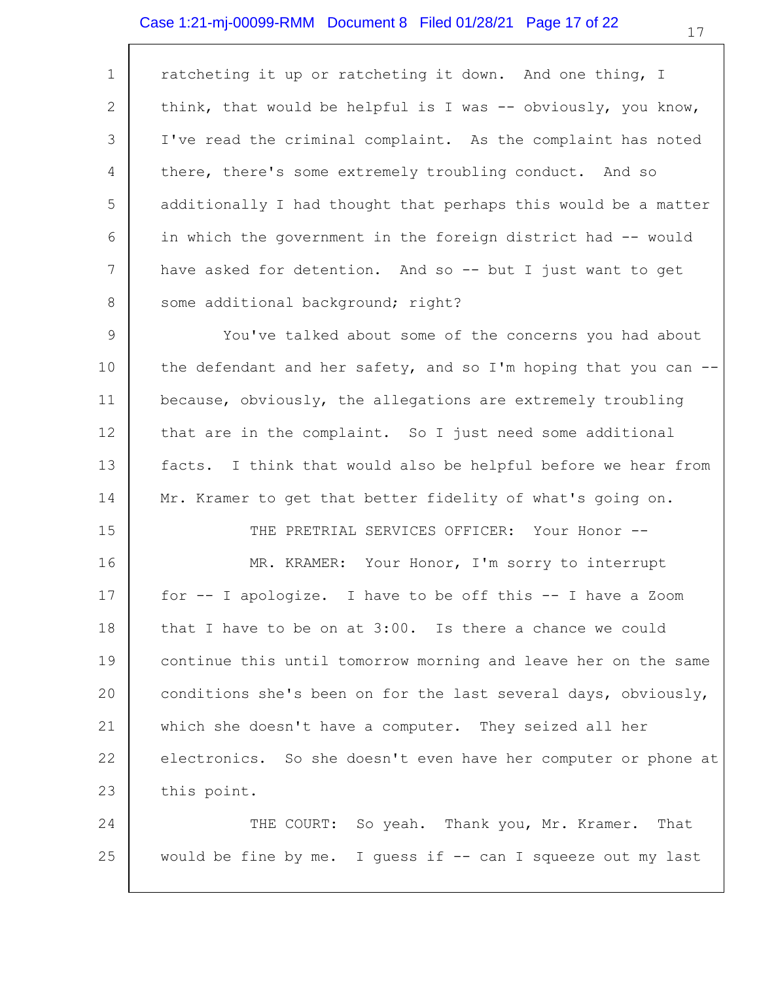#### Case 1:21-mj-00099-RMM Document 8 Filed 01/28/21 Page 17 of 22

1 2 3 4 5 6 7 8 ratcheting it up or ratcheting it down. And one thing, I think, that would be helpful is I was -- obviously, you know, I've read the criminal complaint. As the complaint has noted there, there's some extremely troubling conduct. And so additionally I had thought that perhaps this would be a matter in which the government in the foreign district had -- would have asked for detention. And so -- but I just want to get some additional background; right?

9 10 11 12 13 14 You've talked about some of the concerns you had about the defendant and her safety, and so I'm hoping that you can  $-$ because, obviously, the allegations are extremely troubling that are in the complaint. So I just need some additional facts. I think that would also be helpful before we hear from Mr. Kramer to get that better fidelity of what's going on.

15

16

THE PRETRIAL SERVICES OFFICER: Your Honor --

MR. KRAMER: Your Honor, I'm sorry to interrupt

17 18 19 20 21 22 23 for -- I apologize. I have to be off this -- I have a Zoom that I have to be on at 3:00. Is there a chance we could continue this until tomorrow morning and leave her on the same conditions she's been on for the last several days, obviously, which she doesn't have a computer. They seized all her electronics. So she doesn't even have her computer or phone at this point.

24 25 THE COURT: So yeah. Thank you, Mr. Kramer. That would be fine by me. I guess if  $-$  can I squeeze out my last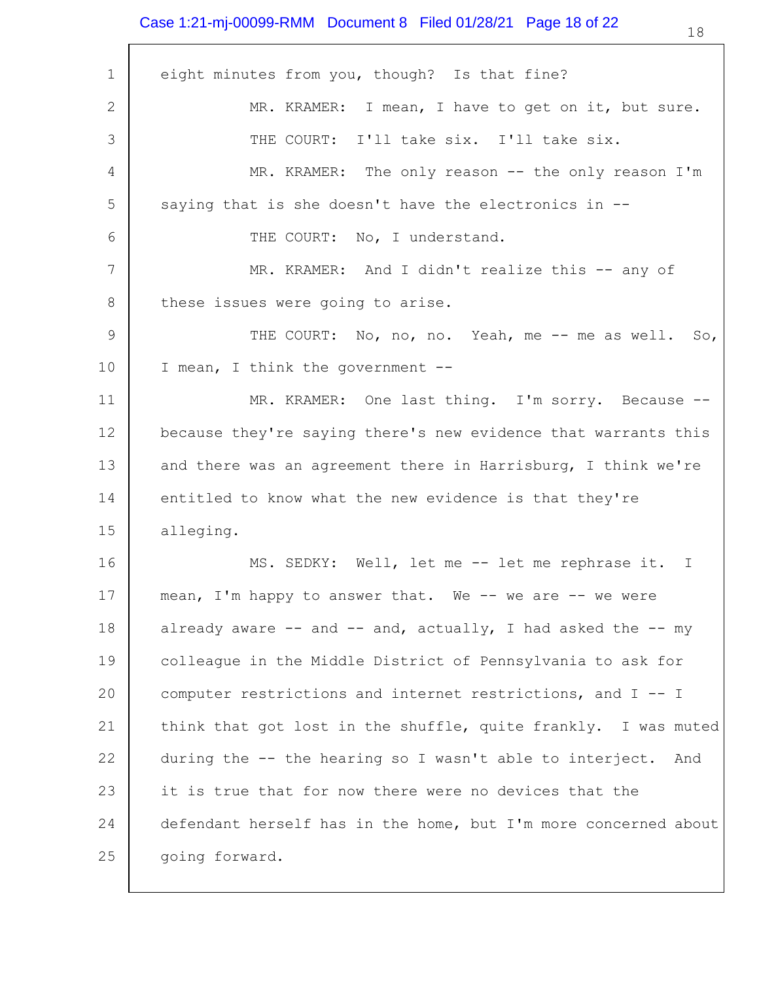### Case 1:21-mj-00099-RMM Document 8 Filed 01/28/21 Page 18 of 22

| $\mathbf 1$     | eight minutes from you, though? Is that fine?                      |
|-----------------|--------------------------------------------------------------------|
| 2               | MR. KRAMER: I mean, I have to get on it, but sure.                 |
| 3               | THE COURT: I'll take six. I'll take six.                           |
| 4               | MR. KRAMER: The only reason -- the only reason I'm                 |
| 5               | saying that is she doesn't have the electronics in --              |
| 6               | THE COURT: No, I understand.                                       |
| $7\phantom{.0}$ | MR. KRAMER: And I didn't realize this -- any of                    |
| 8               | these issues were going to arise.                                  |
| 9               | THE COURT: No, no, no. Yeah, me -- me as well. So,                 |
| 10              | I mean, I think the government --                                  |
| 11              | MR. KRAMER: One last thing. I'm sorry. Because --                  |
| 12              | because they're saying there's new evidence that warrants this     |
| 13              | and there was an agreement there in Harrisburg, I think we're      |
| 14              | entitled to know what the new evidence is that they're             |
| 15              | alleging.                                                          |
| 16              | MS. SEDKY: Well, let me -- let me rephrase it. I                   |
| 17              | mean, I'm happy to answer that. We -- we are -- we were            |
| 18              | already aware $--$ and $--$ and, actually, I had asked the $--$ my |
| 19              | colleague in the Middle District of Pennsylvania to ask for        |
| 20              | computer restrictions and internet restrictions, and I -- I        |
| 21              | think that got lost in the shuffle, quite frankly. I was muted     |
| 22              | during the -- the hearing so I wasn't able to interject.<br>And    |
| 23              | it is true that for now there were no devices that the             |
| 24              | defendant herself has in the home, but I'm more concerned about    |
| 25              | going forward.                                                     |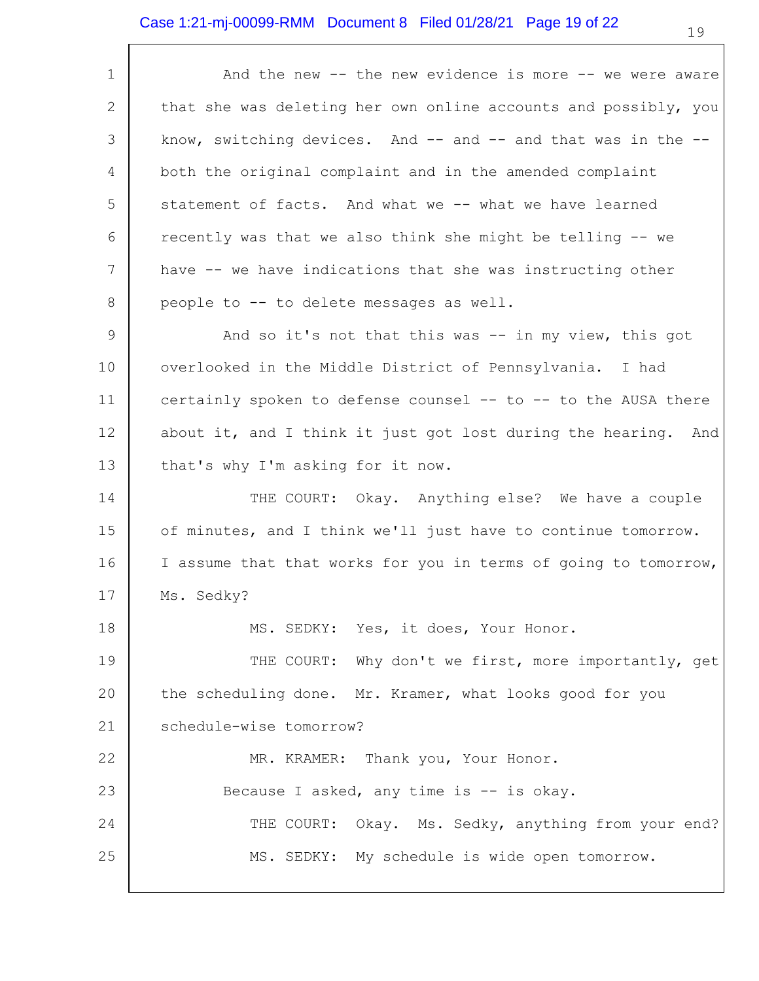# Case 1:21-mj-00099-RMM Document 8 Filed 01/28/21 Page 19 of 22

| 1           | And the new -- the new evidence is more -- we were aware         |
|-------------|------------------------------------------------------------------|
| 2           | that she was deleting her own online accounts and possibly, you  |
| 3           | know, switching devices. And $-$ and $-$ and that was in the $-$ |
| 4           | both the original complaint and in the amended complaint         |
| 5           | statement of facts. And what we -- what we have learned          |
| 6           | recently was that we also think she might be telling -- we       |
| 7           | have -- we have indications that she was instructing other       |
| 8           | people to -- to delete messages as well.                         |
| $\mathsf 9$ | And so it's not that this was -- in my view, this got            |
| 10          | overlooked in the Middle District of Pennsylvania. I had         |
| 11          | certainly spoken to defense counsel -- to -- to the AUSA there   |
| 12          | about it, and I think it just got lost during the hearing. And   |
| 13          | that's why I'm asking for it now.                                |
| 14          | THE COURT: Okay. Anything else? We have a couple                 |
| 15          | of minutes, and I think we'll just have to continue tomorrow.    |
| 16          | I assume that that works for you in terms of going to tomorrow,  |
| 17          | Ms. Sedky?                                                       |
| 18          | MS. SEDKY: Yes, it does, Your Honor.                             |
| 19          | THE COURT: Why don't we first, more importantly, get             |
| 20          | the scheduling done. Mr. Kramer, what looks good for you         |
| 21          | schedule-wise tomorrow?                                          |
| 22          | MR. KRAMER: Thank you, Your Honor.                               |
| 23          | Because I asked, any time is -- is okay.                         |
| 24          | THE COURT: Okay. Ms. Sedky, anything from your end?              |
| 25          | MS. SEDKY: My schedule is wide open tomorrow.                    |
|             |                                                                  |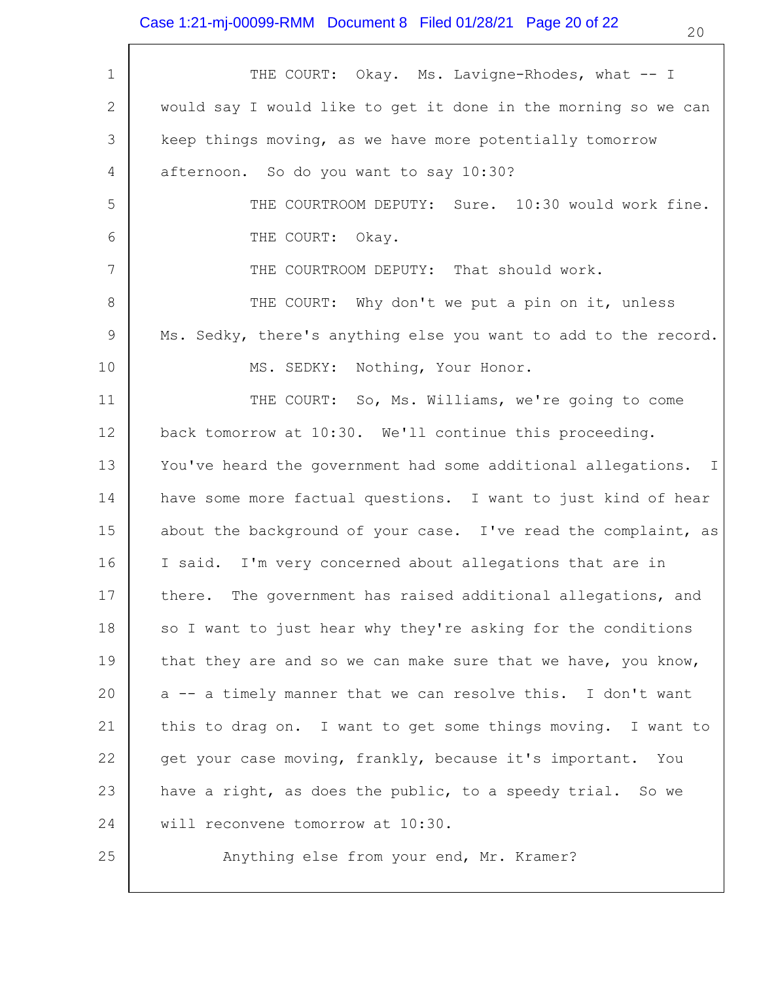$\overline{\phantom{a}}$ 

| $\mathbf 1$  | THE COURT: Okay. Ms. Lavigne-Rhodes, what -- I                  |
|--------------|-----------------------------------------------------------------|
| $\mathbf{2}$ | would say I would like to get it done in the morning so we can  |
| 3            | keep things moving, as we have more potentially tomorrow        |
| 4            | afternoon. So do you want to say 10:30?                         |
| 5            | THE COURTROOM DEPUTY: Sure. 10:30 would work fine.              |
| 6            | THE COURT: Okay.                                                |
| 7            | THE COURTROOM DEPUTY: That should work.                         |
| 8            | THE COURT: Why don't we put a pin on it, unless                 |
| 9            | Ms. Sedky, there's anything else you want to add to the record. |
| 10           | MS. SEDKY: Nothing, Your Honor.                                 |
| 11           | THE COURT: So, Ms. Williams, we're going to come                |
| 12           | back tomorrow at 10:30. We'll continue this proceeding.         |
| 13           | You've heard the government had some additional allegations. I  |
| 14           | have some more factual questions. I want to just kind of hear   |
| 15           | about the background of your case. I've read the complaint, as  |
| 16           | I said. I'm very concerned about allegations that are in        |
| 17           | there. The government has raised additional allegations, and    |
| 18           | so I want to just hear why they're asking for the conditions    |
| 19           | that they are and so we can make sure that we have, you know,   |
| 20           | a -- a timely manner that we can resolve this. I don't want     |
| 21           | this to drag on. I want to get some things moving. I want to    |
| 22           | get your case moving, frankly, because it's important. You      |
| 23           | have a right, as does the public, to a speedy trial. So we      |
| 24           | will reconvene tomorrow at 10:30.                               |
| 25           | Anything else from your end, Mr. Kramer?                        |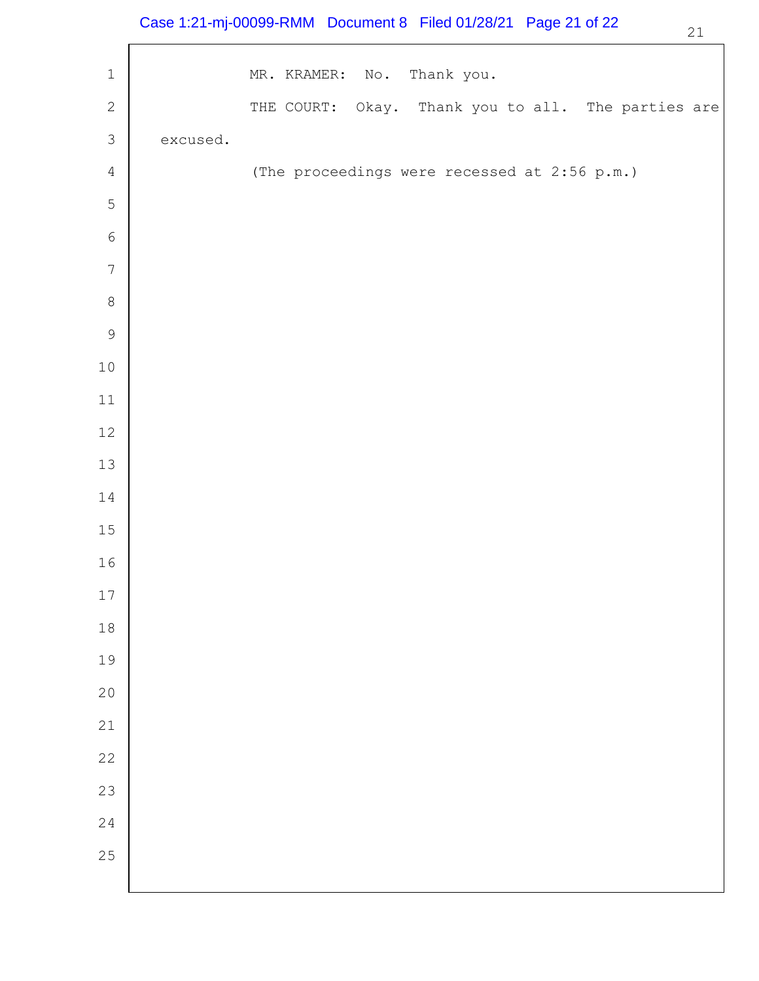## Case 1:21-mj-00099-RMM Document 8 Filed 01/28/21 Page 21 of 22

| i   |
|-----|
| . . |
|     |
|     |

 $\overline{\phantom{a}}$ 

| $\mathbf 1$   |          | MR. KRAMER: No. Thank you.                         |
|---------------|----------|----------------------------------------------------|
| $\mathbf{2}$  |          | THE COURT: Okay. Thank you to all. The parties are |
| $\mathcal{S}$ | excused. |                                                    |
| $\sqrt{4}$    |          | (The proceedings were recessed at 2:56 p.m.)       |
| 5             |          |                                                    |
| $\epsilon$    |          |                                                    |
| $\sqrt{ }$    |          |                                                    |
| $\,8\,$       |          |                                                    |
| $\mathsf 9$   |          |                                                    |
| $10\,$        |          |                                                    |
| $11\,$        |          |                                                    |
| $12\,$        |          |                                                    |
| 13            |          |                                                    |
| 14            |          |                                                    |
| $15\,$        |          |                                                    |
| 16            |          |                                                    |
| $17$          |          |                                                    |
| $1\,8$        |          |                                                    |
| 19            |          |                                                    |
| 20            |          |                                                    |
| $21\,$        |          |                                                    |
| 22            |          |                                                    |
| 23            |          |                                                    |
| 24            |          |                                                    |
| $25$          |          |                                                    |
|               |          |                                                    |